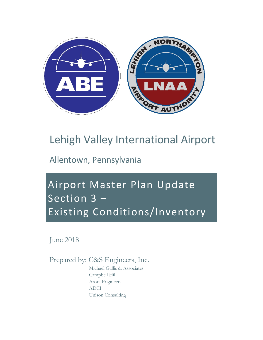

## Lehigh Valley International Airport

Allentown, Pennsylvania

Airport Master Plan Update Section 3 – Existing Conditions/Inventory

June 2018

Prepared by: C&S Engineers, Inc.

Michael Gallis & Associates Campbell Hill Arora Engineers ADCI Unison Consulting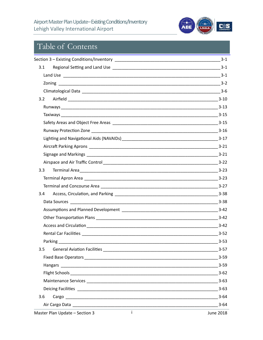

## Table of Contents

|     | $3 - 1$  |
|-----|----------|
| 3.1 |          |
|     |          |
|     |          |
|     |          |
| 3.2 |          |
|     |          |
|     |          |
|     |          |
|     |          |
|     |          |
|     |          |
|     |          |
|     | $3 - 22$ |
| 3.3 |          |
|     | $3 - 23$ |
|     |          |
| 3.4 | $3 - 38$ |
|     |          |
|     |          |
|     |          |
|     |          |
|     |          |
|     | $3-53$   |
| 3.5 | $3 - 57$ |
|     | $3 - 59$ |
|     | $3 - 59$ |
|     | $3 - 62$ |
|     | $3 - 63$ |
|     | $3 - 63$ |
| 3.6 | $3 - 64$ |
|     | $3 - 64$ |
|     |          |